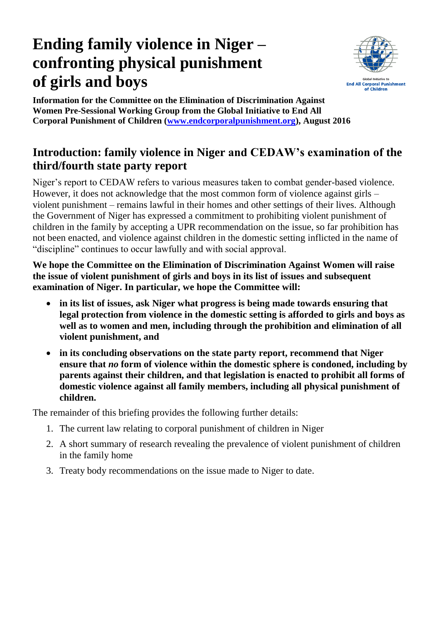# **Ending family violence in Niger – confronting physical punishment of girls and boys**



**Information for the Committee on the Elimination of Discrimination Against Women Pre-Sessional Working Group from the Global Initiative to End All Corporal Punishment of Children [\(www.endcorporalpunishment.org\)](http://www.endcorporalpunishment.org/), August 2016**

# **Introduction: family violence in Niger and CEDAW's examination of the third/fourth state party report**

Niger's report to CEDAW refers to various measures taken to combat gender-based violence. However, it does not acknowledge that the most common form of violence against girls – violent punishment – remains lawful in their homes and other settings of their lives. Although the Government of Niger has expressed a commitment to prohibiting violent punishment of children in the family by accepting a UPR recommendation on the issue, so far prohibition has not been enacted, and violence against children in the domestic setting inflicted in the name of "discipline" continues to occur lawfully and with social approval.

**We hope the Committee on the Elimination of Discrimination Against Women will raise the issue of violent punishment of girls and boys in its list of issues and subsequent examination of Niger. In particular, we hope the Committee will:**

- **in its list of issues, ask Niger what progress is being made towards ensuring that legal protection from violence in the domestic setting is afforded to girls and boys as well as to women and men, including through the prohibition and elimination of all violent punishment, and**
- **in its concluding observations on the state party report, recommend that Niger ensure that** *no* **form of violence within the domestic sphere is condoned, including by parents against their children, and that legislation is enacted to prohibit all forms of domestic violence against all family members, including all physical punishment of children.**

The remainder of this briefing provides the following further details:

- 1. The current law relating to corporal punishment of children in Niger
- 2. A short summary of research revealing the prevalence of violent punishment of children in the family home
- 3. Treaty body recommendations on the issue made to Niger to date.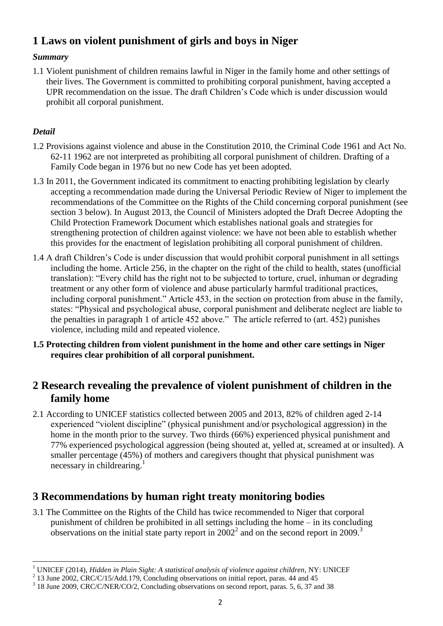## **1 Laws on violent punishment of girls and boys in Niger**

#### *Summary*

1.1 Violent punishment of children remains lawful in Niger in the family home and other settings of their lives. The Government is committed to prohibiting corporal punishment, having accepted a UPR recommendation on the issue. The draft Children's Code which is under discussion would prohibit all corporal punishment.

#### *Detail*

- 1.2 Provisions against violence and abuse in the Constitution 2010, the Criminal Code 1961 and Act No. 62-11 1962 are not interpreted as prohibiting all corporal punishment of children. Drafting of a Family Code began in 1976 but no new Code has yet been adopted.
- 1.3 In 2011, the Government indicated its commitment to enacting prohibiting legislation by clearly accepting a recommendation made during the Universal Periodic Review of Niger to implement the recommendations of the Committee on the Rights of the Child concerning corporal punishment (see section 3 below). In August 2013, the Council of Ministers adopted the Draft Decree Adopting the Child Protection Framework Document which establishes national goals and strategies for strengthening protection of children against violence: we have not been able to establish whether this provides for the enactment of legislation prohibiting all corporal punishment of children.
- 1.4 A draft Children's Code is under discussion that would prohibit corporal punishment in all settings including the home. Article 256, in the chapter on the right of the child to health, states (unofficial translation): "Every child has the right not to be subjected to torture, cruel, inhuman or degrading treatment or any other form of violence and abuse particularly harmful traditional practices, including corporal punishment." Article 453, in the section on protection from abuse in the family, states: "Physical and psychological abuse, corporal punishment and deliberate neglect are liable to the penalties in paragraph 1 of article 452 above." The article referred to (art. 452) punishes violence, including mild and repeated violence.
- **1.5 Protecting children from violent punishment in the home and other care settings in Niger requires clear prohibition of all corporal punishment.**

### **2 Research revealing the prevalence of violent punishment of children in the family home**

2.1 According to UNICEF statistics collected between 2005 and 2013, 82% of children aged 2-14 experienced "violent discipline" (physical punishment and/or psychological aggression) in the home in the month prior to the survey. Two thirds (66%) experienced physical punishment and 77% experienced psychological aggression (being shouted at, yelled at, screamed at or insulted). A smaller percentage (45%) of mothers and caregivers thought that physical punishment was necessary in childrearing.<sup>1</sup>

### **3 Recommendations by human right treaty monitoring bodies**

3.1 The Committee on the Rights of the Child has twice recommended to Niger that corporal punishment of children be prohibited in all settings including the home – in its concluding observations on the initial state party report in  $2002<sup>2</sup>$  and on the second report in  $2009$ .<sup>3</sup>

 $\ddot{\phantom{a}}$ <sup>1</sup> UNICEF (2014), *Hidden in Plain Sight: A statistical analysis of violence against children*, NY: UNICEF

 $^{2}$  13 June 2002, CRC/C/15/Add.179, Concluding observations on initial report, paras. 44 and 45

<sup>&</sup>lt;sup>3</sup> 18 June 2009, CRC/C/NER/CO/2, Concluding observations on second report, paras. 5, 6, 37 and 38